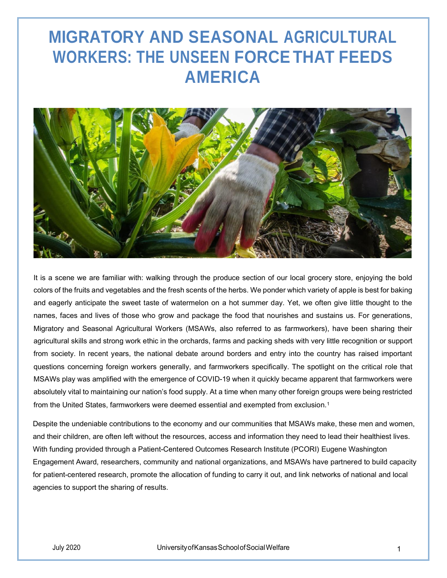# **MIGRATORY AND SEASONAL AGRICULTURAL WORKERS: THE UNSEEN FORCE THAT FEEDS AMERICA**



It is a scene we are familiar with: walking through the produce section of our local grocery store, enjoying the bold colors of the fruits and vegetables and the fresh scents of the herbs. We ponder which variety of apple is best for baking and eagerly anticipate the sweet taste of watermelon on a hot summer day. Yet, we often give little thought to the names, faces and lives of those who grow and package the food that nourishes and sustains us. For generations, Migratory and Seasonal Agricultural Workers (MSAWs, also referred to as farmworkers), have been sharing their agricultural skills and strong work ethic in the orchards, farms and packing sheds with very little recognition or support from society. In recent years, the national debate around borders and entry into the country has raised important questions concerning foreign workers generally, and farmworkers specifically. The spotlight on the critical role that MSAWs play was amplified with the emergence of COVID‐19 when it quickly became apparent that farmworkers were absolutely vital to maintaining our nation's food supply. At a time when many other foreign groups were being restricted from the United States, farmworkers were deemed essential and exempted from exclusion.<sup>1</sup>

Despite the undeniable contributions to the economy and our communities that MSAWs make, these men and women, and their children, are often left without the resources, access and information they need to lead their healthiest lives. With funding provided through a Patient‐Centered Outcomes Research Institute (PCORI) Eugene Washington Engagement Award, researchers, community and national organizations, and MSAWs have partnered to build capacity for patient-centered research, promote the allocation of funding to carry it out, and link networks of national and local agencies to support the sharing of results.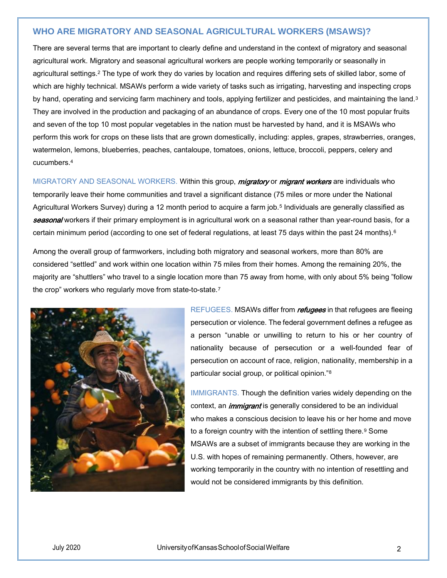## **WHO ARE MIGRATORY AND SEASONAL AGRICULTURAL WORKERS (MSAWS)?**

There are several terms that are important to clearly define and understand in the context of migratory and seasonal agricultural work. Migratory and seasonal agricultural workers are people working temporarily or seasonally in agricultural settings.<sup>2</sup> The type of work they do varies by location and requires differing sets of skilled labor, some of which are highly technical. MSAWs perform a wide variety of tasks such as irrigating, harvesting and inspecting crops by hand, operating and servicing farm machinery and tools, applying fertilizer and pesticides, and maintaining the land.<sup>3</sup> They are involved in the production and packaging of an abundance of crops. Every one of the 10 most popular fruits and seven of the top 10 most popular vegetables in the nation must be harvested by hand, and it is MSAWs who perform this work for crops on these lists that are grown domestically, including: apples, grapes, strawberries, oranges, watermelon, lemons, blueberries, peaches, cantaloupe, tomatoes, onions, lettuce, broccoli, peppers, celery and cucumbers.<sup>4</sup>

MIGRATORY AND SEASONAL WORKERS. Within this group, migratory or migrant workers are individuals who temporarily leave their home communities and travel a significant distance (75 miles or more under the National Agricultural Workers Survey) during a 12 month period to acquire a farm job.<sup>5</sup> Individuals are generally classified as seasonal workers if their primary employment is in agricultural work on a seasonal rather than year-round basis, for a certain minimum period (according to one set of federal regulations, at least 75 days within the past 24 months).<sup>6</sup>

Among the overall group of farmworkers, including both migratory and seasonal workers, more than 80% are considered "settled" and work within one location within 75 miles from their homes. Among the remaining 20%, the majority are "shuttlers" who travel to a single location more than 75 away from home, with only about 5% being "follow the crop" workers who regularly move from state-to-state.<sup>7</sup>



REFUGEES. MSAWs differ from *refugees* in that refugees are fleeing persecution or violence. The federal government defines a refugee as a person "unable or unwilling to return to his or her country of nationality because of persecution or a well-founded fear of persecution on account of race, religion, nationality, membership in a particular social group, or political opinion."<sup>8</sup>

IMMIGRANTS. Though the definition varies widely depending on the context, an *immigrant* is generally considered to be an individual who makes a conscious decision to leave his or her home and move to a foreign country with the intention of settling there.<sup>9</sup> Some MSAWs are a subset of immigrants because they are working in the U.S. with hopes of remaining permanently. Others, however, are working temporarily in the country with no intention of resettling and would not be considered immigrants by this definition.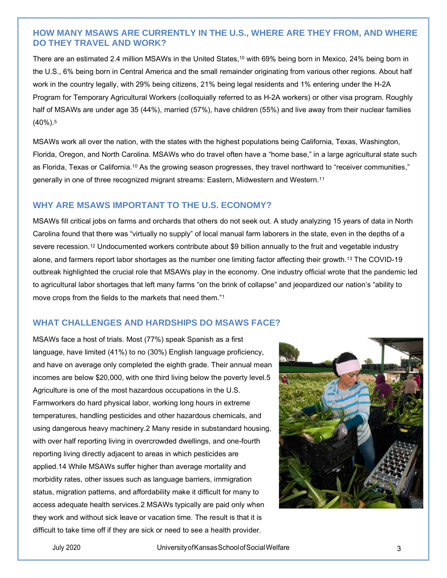## **HOW MANY MSAWS ARE CURRENTLY IN THE U.S., WHERE ARE THEY FROM, AND WHERE DO THEY TRAVEL AND WORK?**

There are an estimated 2.4 million MSAWs in the United States,<sup>10</sup> with 69% being born in Mexico, 24% being born in the U.S., 6% being born in Central America and the small remainder originating from various other regions. About half work in the country legally, with 29% being citizens, 21% being legal residents and 1% entering under the H‐2A Program for Temporary Agricultural Workers (colloquially referred to as H‐2A workers) or other visa program. Roughly half of MSAWs are under age 35 (44%), married (57%), have children (55%) and live away from their nuclear families (40%).<sup>5</sup>

MSAWs work all over the nation, with the states with the highest populations being California, Texas, Washington, Florida, Oregon, and North Carolina. MSAWs who do travel often have a "home base," in a large agricultural state such as Florida, Texas or California.<sup>10</sup> As the growing season progresses, they travel northward to "receiver communities," generally in one of three recognized migrant streams: Eastern, Midwestern and Western.<sup>11</sup>

#### **WHY ARE MSAWS IMPORTANT TO THE U.S. ECONOMY?**

MSAWs fill critical jobs on farms and orchards that others do not seek out. A study analyzing 15 years of data in North Carolina found that there was "virtually no supply" of local manual farm laborers in the state, even in the depths of a severe recession.<sup>12</sup> Undocumented workers contribute about \$9 billion annually to the fruit and vegetable industry alone, and farmers report labor shortages as the number one limiting factor affecting their growth.<sup>13</sup> The COVID‐19 outbreak highlighted the crucial role that MSAWs play in the economy. One industry official wrote that the pandemic led to agricultural labor shortages that left many farms "on the brink of collapse" and jeopardized our nation's "ability to move crops from the fields to the markets that need them."<sup>1</sup>

## **WHAT CHALLENGES AND HARDSHIPS DO MSAWS FACE?**

MSAWs face a host of trials. Most (77%) speak Spanish as a first language, have limited (41%) to no (30%) English language proficiency, and have on average only completed the eighth grade. Their annual mean incomes are below \$20,000, with one third living below the poverty level.5 Agriculture is one of the most hazardous occupations in the U.S. Farmworkers do hard physical labor, working long hours in extreme temperatures, handling pesticides and other hazardous chemicals, and using dangerous heavy machinery.2 Many reside in substandard housing, with over half reporting living in overcrowded dwellings, and one‐fourth reporting living directly adjacent to areas in which pesticides are applied.14 While MSAWs suffer higher than average mortality and morbidity rates, other issues such as language barriers, immigration status, migration patterns, and affordability make it difficult for many to access adequate health services.2 MSAWs typically are paid only when they work and without sick leave or vacation time. The result is that it is difficult to take time off if they are sick or need to see a health provider.

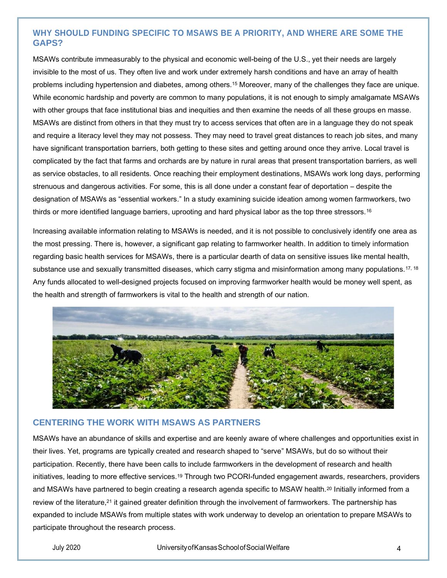# **WHY SHOULD FUNDING SPECIFIC TO MSAWS BE A PRIORITY, AND WHERE ARE SOME THE GAPS?**

MSAWs contribute immeasurably to the physical and economic well‐being of the U.S., yet their needs are largely invisible to the most of us. They often live and work under extremely harsh conditions and have an array of health problems including hypertension and diabetes, among others.<sup>15</sup> Moreover, many of the challenges they face are unique. While economic hardship and poverty are common to many populations, it is not enough to simply amalgamate MSAWs with other groups that face institutional bias and inequities and then examine the needs of all these groups en masse. MSAWs are distinct from others in that they must try to access services that often are in a language they do not speak and require a literacy level they may not possess. They may need to travel great distances to reach job sites, and many have significant transportation barriers, both getting to these sites and getting around once they arrive. Local travel is complicated by the fact that farms and orchards are by nature in rural areas that present transportation barriers, as well as service obstacles, to all residents. Once reaching their employment destinations, MSAWs work long days, performing strenuous and dangerous activities. For some, this is all done under a constant fear of deportation – despite the designation of MSAWs as "essential workers." In a study examining suicide ideation among women farmworkers, two thirds or more identified language barriers, uprooting and hard physical labor as the top three stressors.<sup>16</sup>

Increasing available information relating to MSAWs is needed, and it is not possible to conclusively identify one area as the most pressing. There is, however, a significant gap relating to farmworker health. In addition to timely information regarding basic health services for MSAWs, there is a particular dearth of data on sensitive issues like mental health, substance use and sexually transmitted diseases, which carry stigma and misinformation among many populations.<sup>17, 18</sup> Any funds allocated to well‐designed projects focused on improving farmworker health would be money well spent, as the health and strength of farmworkers is vital to the health and strength of our nation.



#### **CENTERING THE WORK WITH MSAWS AS PARTNERS**

MSAWs have an abundance of skills and expertise and are keenly aware of where challenges and opportunities exist in their lives. Yet, programs are typically created and research shaped to "serve" MSAWs, but do so without their participation. Recently, there have been calls to include farmworkers in the development of research and health initiatives, leading to more effective services.<sup>19</sup> Through two PCORI-funded engagement awards, researchers, providers and MSAWs have partnered to begin creating a research agenda specific to MSAW health.<sup>20</sup> Initially informed from a review of the literature,<sup>21</sup> it gained greater definition through the involvement of farmworkers. The partnership has expanded to include MSAWs from multiple states with work underway to develop an orientation to prepare MSAWs to participate throughout the research process.

#### July 2020 UniversityofKansasSchoolofSocialWelfare 4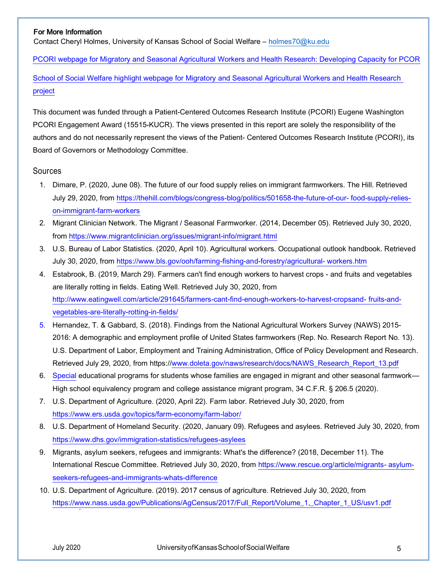#### For More Information

Contact Cheryl Holmes, University of Kansas School of Social Welfare – [holmes70@ku.edu](mailto:holmes70@ku.edu) 

[PCORI webpage for Migratory and Seasonal Agricultural Workers and Health Research: Developing Capacity for PCOR](https://www.pcori.org/research-results/2019/migratory-and-seasonal-agricultural-workers-and-health-research-developing)

[School of Social Welfare highlight webpage for Migratory and Seasonal Agricultural Workers and Health Research](https://socwel.ku.edu/highlight-migrant)  [project](https://socwel.ku.edu/highlight-migrant)

This document was funded through a Patient‐Centered Outcomes Research Institute (PCORI) Eugene Washington PCORI Engagement Award (15515‐KUCR). The views presented in this report are solely the responsibility of the authors and do not necessarily represent the views of the Patient‐ Centered Outcomes Research Institute (PCORI), its Board of Governors or Methodology Committee.

#### Sources

- 1. Dimare, P. (2020, June 08). The future of our food supply relies on immigrant farmworkers. The Hill. Retrieved July 29, 2020, from [https://thehill.com/blogs/congress‐blog/politics/501658‐the‐future‐of‐our‐ food‐supply‐relies‐](https://thehill.com/blogs/congress‐blog/politics/501658‐the‐future‐of‐our‐%20food‐supply‐relies‐on‐immigrant‐farm‐workers) [on‐immigrant‐farm‐workers](https://thehill.com/blogs/congress‐blog/politics/501658‐the‐future‐of‐our‐%20food‐supply‐relies‐on‐immigrant‐farm‐workers)
- 2. Migrant Clinician Network. The Migrant / Seasonal Farmworker. (2014, December 05). Retrieved July 30, 2020, from https://www.migrantclinician.org/issues/migrant-info/migrant.html
- 3. U.S. Bureau of Labor Statistics. (2020, April 10). Agricultural workers. Occupational outlook handbook. Retrieved July 30, 2020, from https:/[/www.bls.gov/ooh/farming](https://www.bls.gov/ooh/farming‐fishing‐and‐forestry/agricultural‐%20workers.htm)‐fishing‐and‐forestry/agricultural‐ workers.htm
- 4. Estabrook, B. (2019, March 29). Farmers can't find enough workers to harvest crops ‐ and fruits and vegetables are literally rotting in fields. Eating Well. Retrieved July 30, 2020, from http://www.eatingwell.com/article/291645/farmers-cant-find-enough-workers-to-harvest-cropsand-fruits-and[vegetables‐are‐literally‐rotting‐in‐fields/](http://www.eatingwell.com/article/291645/farmers‐cant‐find‐enough‐workers‐to‐harvest‐cropsand‐%20fruits‐and‐vegetables‐are‐literally‐rotting‐in‐fields/)
- 5. Hernandez, T. & Gabbard, S. (2018). Findings from the National Agricultural Workers Survey (NAWS) 2015‐ 2016: A demographic and employment profile of United States farmworkers (Rep. No. Research Report No. 13). U.S. Department of Labor, Employment and Training Administration, Office of Policy Development and Research. Retrieved July 29, 2020, from https:/[/www.doleta.gov/naws/research/docs/NAWS\\_Research\\_Report\\_13.pdf](https://www.doleta.gov/naws/research/docs/NAWS_Research_Report_13.pdf)
- 6. [Special](https://www.doleta.gov/naws/research/docs/NAWS_Research_Report_13.pdf) educational programs for students whose families are engaged in migrant and other seasonal farmwork— High school equivalency program and college assistance migrant program, 34 C.F.R. § 206.5 (2020).
- 7. U.S. Department of Agriculture. (2020, April 22). Farm labor. Retrieved July 30, 2020, from <https://www.ers.usda.gov/topics/farm‐economy/farm‐labor/>
- 8. U.S. Department of Homeland Security. (2020, January 09). Refugees and asylees. Retrieved July 30, 2020, from <https://www.dhs.gov/immigration‐statistics/refugees‐asylees>
- 9. Migrants, asylum seekers, refugees and immigrants: What's the difference? (2018, December 11). The International Rescue Committee. Retrieved July 30, 2020, from [https://www.rescue.org/ar](https://www.rescue.org/article/migrants‐%20asylum‐seekers‐refugees‐and‐immigrants‐whats‐difference)ticle/migrants- asylum[seekers‐refugees‐and‐immigrants‐whats‐difference](https://www.rescue.org/article/migrants‐%20asylum‐seekers‐refugees‐and‐immigrants‐whats‐difference)
- 10. U.S. Department of Agriculture. (2019). 2017 census of agriculture. Retrieved July 30, 2020, from [https://www.nass.usda.gov/Publications/AgCensus/2017/Full\\_Report/Volume\\_1,\\_Chapter\\_1\\_US/usv1.pdf](https://www.nass.usda.gov/Publications/AgCensus/2017/Full_Report/Volume_1,_Chapter_1_US/usv1.pdf)